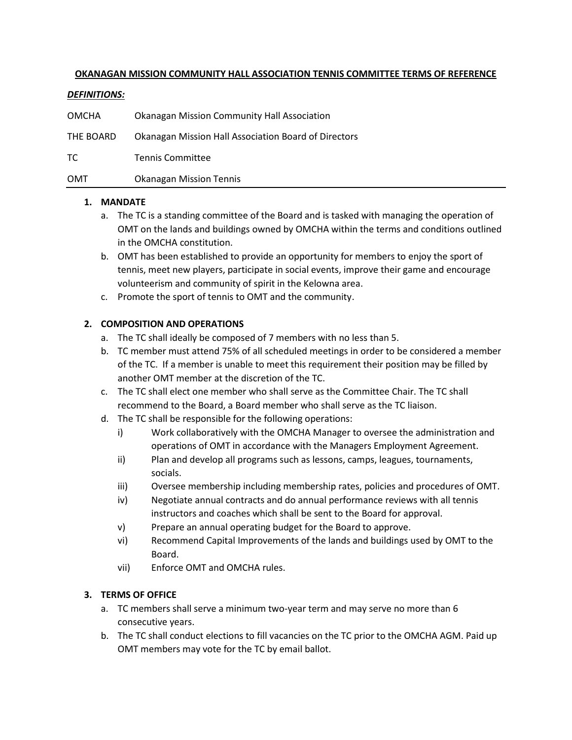#### **OKANAGAN MISSION COMMUNITY HALL ASSOCIATION TENNIS COMMITTEE TERMS OF REFERENCE**

#### *DEFINITIONS:*

| OMCHA     | <b>Okanagan Mission Community Hall Association</b>   |
|-----------|------------------------------------------------------|
| THE BOARD | Okanagan Mission Hall Association Board of Directors |
| TC.       | <b>Tennis Committee</b>                              |
| OMT       | <b>Okanagan Mission Tennis</b>                       |

#### **1. MANDATE**

- a. The TC is a standing committee of the Board and is tasked with managing the operation of OMT on the lands and buildings owned by OMCHA within the terms and conditions outlined in the OMCHA constitution.
- b. OMT has been established to provide an opportunity for members to enjoy the sport of tennis, meet new players, participate in social events, improve their game and encourage volunteerism and community of spirit in the Kelowna area.
- c. Promote the sport of tennis to OMT and the community.

# **2. COMPOSITION AND OPERATIONS**

- a. The TC shall ideally be composed of 7 members with no less than 5.
- b. TC member must attend 75% of all scheduled meetings in order to be considered a member of the TC. If a member is unable to meet this requirement their position may be filled by another OMT member at the discretion of the TC.
- c. The TC shall elect one member who shall serve as the Committee Chair. The TC shall recommend to the Board, a Board member who shall serve as the TC liaison.
- d. The TC shall be responsible for the following operations:
	- i) Work collaboratively with the OMCHA Manager to oversee the administration and operations of OMT in accordance with the Managers Employment Agreement.
	- ii) Plan and develop all programs such as lessons, camps, leagues, tournaments, socials.
	- iii) Oversee membership including membership rates, policies and procedures of OMT.
	- iv) Negotiate annual contracts and do annual performance reviews with all tennis instructors and coaches which shall be sent to the Board for approval.
	- v) Prepare an annual operating budget for the Board to approve.
	- vi) Recommend Capital Improvements of the lands and buildings used by OMT to the Board.
	- vii) Enforce OMT and OMCHA rules.

# **3. TERMS OF OFFICE**

- a. TC members shall serve a minimum two-year term and may serve no more than 6 consecutive years.
- b. The TC shall conduct elections to fill vacancies on the TC prior to the OMCHA AGM. Paid up OMT members may vote for the TC by email ballot.